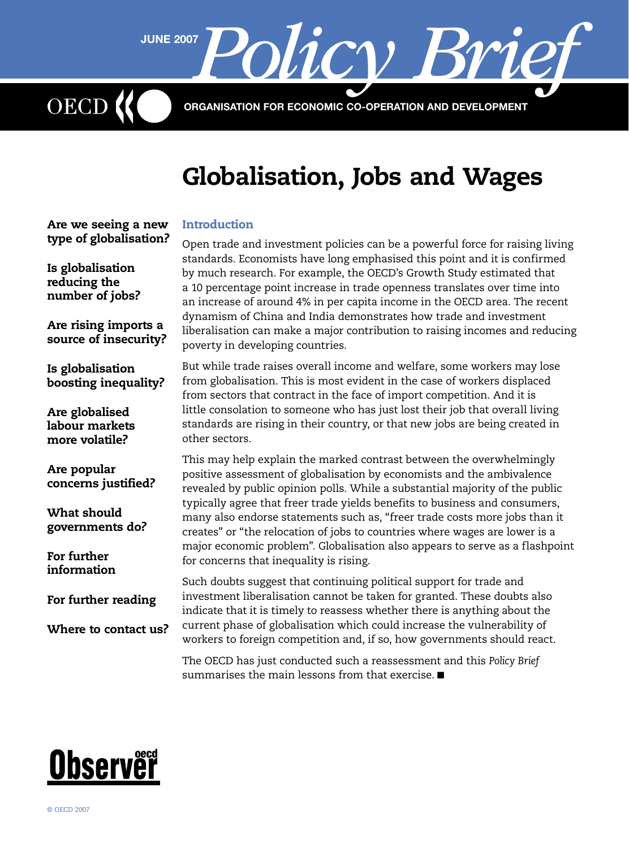ORGANISATION FOR ECONOMIC CO-OPERATION AND DEVELOPMENT

JUNE 2007 Policy Brief

# Globalisation, Jobs and Wages

# Introduction

[Are we seeing a new](#page-1-0)  [type of globalisation?](#page-1-0)

[Are rising imports a](#page-2-0)  [source of insecurity?](#page-2-0)

[Is globalisation](#page-1-0)  [reducing the](#page-1-0)  [number of jobs?](#page-1-0)

OECD

[Is globalisation](#page-3-0)  [boosting inequality?](#page-3-0)

[Are globalised](#page-3-0)  [labour markets](#page-3-0)  [more volatile?](#page-3-0)

[Are popular](#page-5-0) 

[What should](#page-5-0)  [governments do?](#page-5-0)

[For further](#page-6-0)  [information](#page-6-0)

[concerns justified?](#page-5-0)

[For further reading](#page-7-0)

[Where to contact us?](#page-7-0)

Open trade and investment policies can be a powerful force for raising living standards. Economists have long emphasised this point and it is confirmed by much research. For example, the OECD's Growth Study estimated that a 10 percentage point increase in trade openness translates over time into an increase of around 4% in per capita income in the OECD area. The recent dynamism of China and India demonstrates how trade and investment liberalisation can make a major contribution to raising incomes and reducing poverty in developing countries.

But while trade raises overall income and welfare, some workers may lose from globalisation. This is most evident in the case of workers displaced from sectors that contract in the face of import competition. And it is little consolation to someone who has just lost their job that overall living standards are rising in their country, or that new jobs are being created in other sectors.

This may help explain the marked contrast between the overwhelmingly positive assessment of globalisation by economists and the ambivalence revealed by public opinion polls. While a substantial majority of the public typically agree that freer trade yields benefits to business and consumers, many also endorse statements such as, "freer trade costs more jobs than it creates" or "the relocation of jobs to countries where wages are lower is a major economic problem". Globalisation also appears to serve as a flashpoint for concerns that inequality is rising.

Such doubts suggest that continuing political support for trade and investment liberalisation cannot be taken for granted. These doubts also indicate that it is timely to reassess whether there is anything about the current phase of globalisation which could increase the vulnerability of workers to foreign competition and, if so, how governments should react.

The OECD has just conducted such a reassessment and this *Policy Brief* summarises the main lessons from that exercise. ■

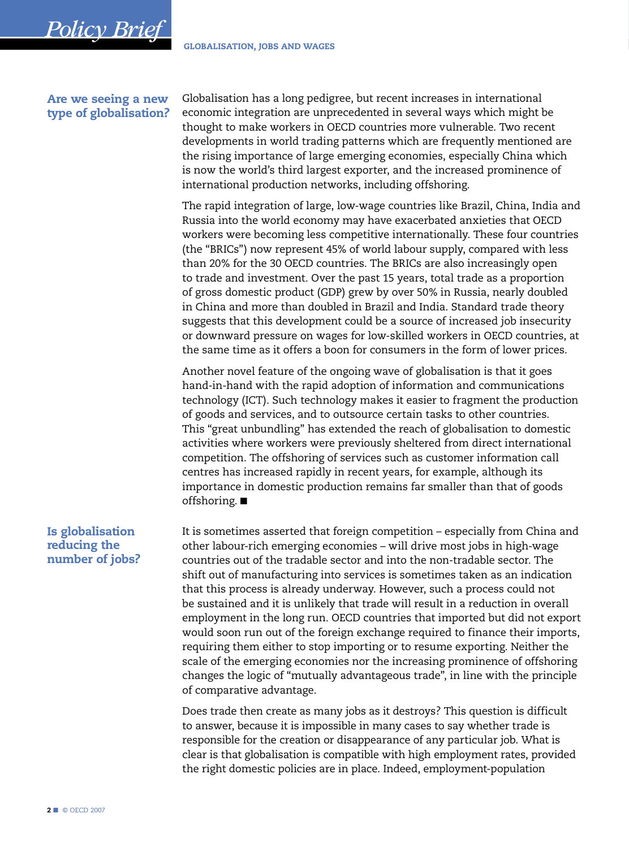## Are we seeing a new type of globalisation?

<span id="page-1-0"></span>*Policy Brief*

Globalisation has a long pedigree, but recent increases in international economic integration are unprecedented in several ways which might be thought to make workers in OECD countries more vulnerable. Two recent developments in world trading patterns which are frequently mentioned are the rising importance of large emerging economies, especially China which is now the world's third largest exporter, and the increased prominence of international production networks, including offshoring.

The rapid integration of large, low-wage countries like Brazil, China, India and Russia into the world economy may have exacerbated anxieties that OECD workers were becoming less competitive internationally. These four countries (the "BRICs") now represent 45% of world labour supply, compared with less than 20% for the 30 OECD countries. The BRICs are also increasingly open to trade and investment. Over the past 15 years, total trade as a proportion of gross domestic product (GDP) grew by over 50% in Russia, nearly doubled in China and more than doubled in Brazil and India. Standard trade theory suggests that this development could be a source of increased job insecurity or downward pressure on wages for low-skilled workers in OECD countries, at the same time as it offers a boon for consumers in the form of lower prices.

Another novel feature of the ongoing wave of globalisation is that it goes hand-in-hand with the rapid adoption of information and communications technology (ICT). Such technology makes it easier to fragment the production of goods and services, and to outsource certain tasks to other countries. This "great unbundling" has extended the reach of globalisation to domestic activities where workers were previously sheltered from direct international competition. The offshoring of services such as customer information call centres has increased rapidly in recent years, for example, although its importance in domestic production remains far smaller than that of goods offshoring. ■

# Is globalisation reducing the number of jobs?

It is sometimes asserted that foreign competition – especially from China and other labour-rich emerging economies – will drive most jobs in high-wage countries out of the tradable sector and into the non-tradable sector. The shift out of manufacturing into services is sometimes taken as an indication that this process is already underway. However, such a process could not be sustained and it is unlikely that trade will result in a reduction in overall employment in the long run. OECD countries that imported but did not export would soon run out of the foreign exchange required to finance their imports, requiring them either to stop importing or to resume exporting. Neither the scale of the emerging economies nor the increasing prominence of offshoring changes the logic of "mutually advantageous trade", in line with the principle of comparative advantage.

Does trade then create as many jobs as it destroys? This question is difficult to answer, because it is impossible in many cases to say whether trade is responsible for the creation or disappearance of any particular job. What is clear is that globalisation is compatible with high employment rates, provided the right domestic policies are in place. Indeed, employment-population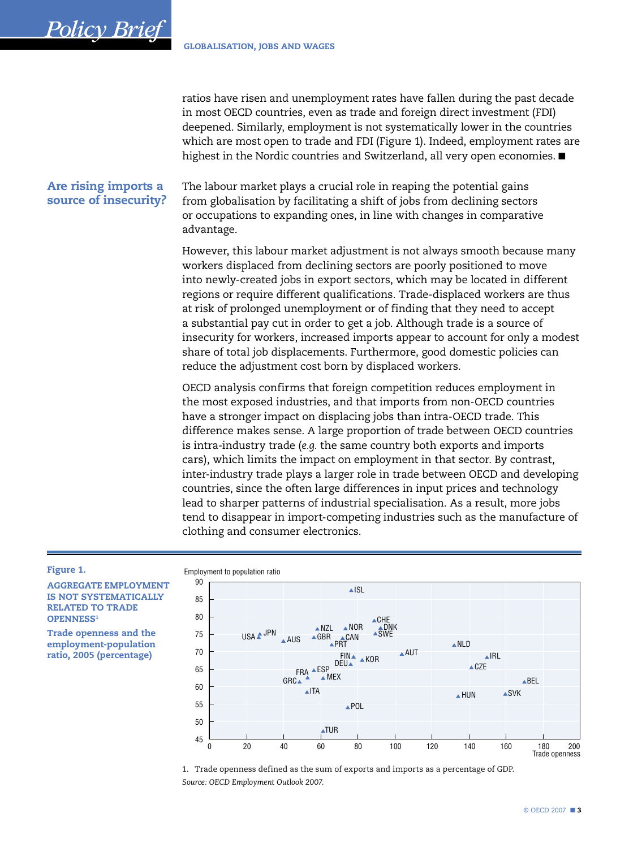ratios have risen and unemployment rates have fallen during the past decade in most OECD countries, even as trade and foreign direct investment (FDI) deepened. Similarly, employment is not systematically lower in the countries which are most open to trade and FDI (Figure 1). Indeed, employment rates are highest in the Nordic countries and Switzerland, all very open economies. ■

# Are rising imports a source of insecurity?

<span id="page-2-0"></span>**Policy Brief** 

The labour market plays a crucial role in reaping the potential gains from globalisation by facilitating a shift of jobs from declining sectors or occupations to expanding ones, in line with changes in comparative advantage.

However, this labour market adjustment is not always smooth because many workers displaced from declining sectors are poorly positioned to move into newly-created jobs in export sectors, which may be located in different regions or require different qualifications. Trade-displaced workers are thus at risk of prolonged unemployment or of finding that they need to accept a substantial pay cut in order to get a job. Although trade is a source of insecurity for workers, increased imports appear to account for only a modest share of total job displacements. Furthermore, good domestic policies can reduce the adjustment cost born by displaced workers.

OECD analysis confirms that foreign competition reduces employment in the most exposed industries, and that imports from non-OECD countries have a stronger impact on displacing jobs than intra-OECD trade. This difference makes sense. A large proportion of trade between OECD countries is intra-industry trade (e.g. the same country both exports and imports cars), which limits the impact on employment in that sector. By contrast, inter-industry trade plays a larger role in trade between OECD and developing countries, since the often large differences in input prices and technology lead to sharper patterns of industrial specialisation. As a result, more jobs tend to disappear in import-competing industries such as the manufacture of clothing and consumer electronics.

#### Figure 1.

**AGGREGATE EMPLOYMENT IS NOT SYSTEMATICALLY RELATED TO TRADE OPENNESS1** 

**Trade openness and the** employment-population ratio, 2005 (percentage)

#### Employment to population ratio



1. Trade openness defined as the sum of exports and imports as a percentage of GDP. Source: OECD Employment Outlook 2007.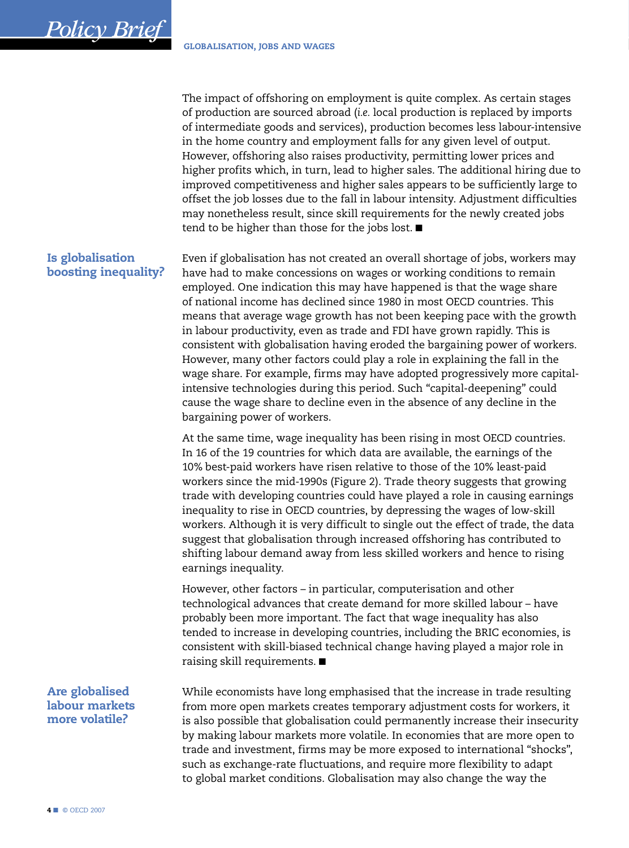The impact of offshoring on employment is quite complex. As certain stages of production are sourced abroad (*i.e.* local production is replaced by imports of intermediate goods and services), production becomes less labour-intensive in the home country and employment falls for any given level of output. However, offshoring also raises productivity, permitting lower prices and higher profits which, in turn, lead to higher sales. The additional hiring due to improved competitiveness and higher sales appears to be sufficiently large to offset the job losses due to the fall in labour intensity. Adjustment difficulties may nonetheless result, since skill requirements for the newly created jobs tend to be higher than those for the jobs lost. ■

Is globalisation boosting inequality?

<span id="page-3-0"></span>*Policy Brief*

Even if globalisation has not created an overall shortage of jobs, workers may have had to make concessions on wages or working conditions to remain employed. One indication this may have happened is that the wage share of national income has declined since 1980 in most OECD countries. This means that average wage growth has not been keeping pace with the growth in labour productivity, even as trade and FDI have grown rapidly. This is consistent with globalisation having eroded the bargaining power of workers. However, many other factors could play a role in explaining the fall in the wage share. For example, firms may have adopted progressively more capitalintensive technologies during this period. Such "capital-deepening" could cause the wage share to decline even in the absence of any decline in the bargaining power of workers.

At the same time, wage inequality has been rising in most OECD countries. In 16 of the 19 countries for which data are available, the earnings of the 10% best-paid workers have risen relative to those of the 10% least-paid workers since the mid-1990s (Figure 2). Trade theory suggests that growing trade with developing countries could have played a role in causing earnings inequality to rise in OECD countries, by depressing the wages of low-skill workers. Although it is very difficult to single out the effect of trade, the data suggest that globalisation through increased offshoring has contributed to shifting labour demand away from less skilled workers and hence to rising earnings inequality.

However, other factors – in particular, computerisation and other technological advances that create demand for more skilled labour – have probably been more important. The fact that wage inequality has also tended to increase in developing countries, including the BRIC economies, is consistent with skill-biased technical change having played a major role in raising skill requirements. ■

Are globalised labour markets more volatile?

While economists have long emphasised that the increase in trade resulting from more open markets creates temporary adjustment costs for workers, it is also possible that globalisation could permanently increase their insecurity by making labour markets more volatile. In economies that are more open to trade and investment, firms may be more exposed to international "shocks", such as exchange-rate fluctuations, and require more flexibility to adapt to global market conditions. Globalisation may also change the way the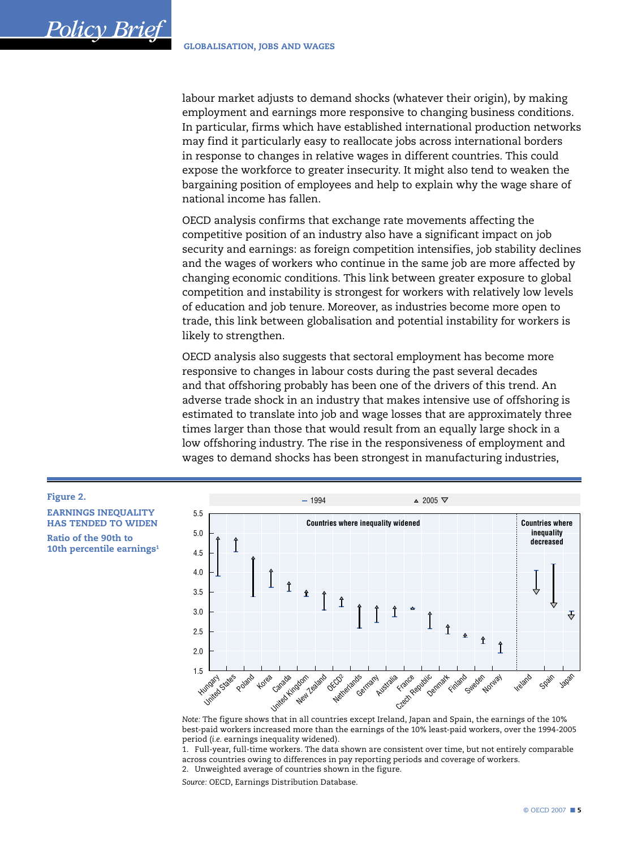**Policy Brie** 

Figure 2.

**EARNINGS INEOUALITY** 

**HAS TENDED TO WIDEN** 

10th percentile earnings<sup>1</sup>

Ratio of the 90th to

labour market adjusts to demand shocks (whatever their origin), by making employment and earnings more responsive to changing business conditions. In particular, firms which have established international production networks may find it particularly easy to reallocate jobs across international borders in response to changes in relative wages in different countries. This could expose the workforce to greater insecurity. It might also tend to weaken the bargaining position of employees and help to explain why the wage share of national income has fallen.

OECD analysis confirms that exchange rate movements affecting the competitive position of an industry also have a significant impact on job security and earnings: as foreign competition intensifies, job stability declines and the wages of workers who continue in the same job are more affected by changing economic conditions. This link between greater exposure to global competition and instability is strongest for workers with relatively low levels of education and job tenure. Moreover, as industries become more open to trade, this link between globalisation and potential instability for workers is likely to strengthen.

OECD analysis also suggests that sectoral employment has become more responsive to changes in labour costs during the past several decades and that offshoring probably has been one of the drivers of this trend. An adverse trade shock in an industry that makes intensive use of offshoring is estimated to translate into job and wage losses that are approximately three times larger than those that would result from an equally large shock in a low offshoring industry. The rise in the responsiveness of employment and wages to demand shocks has been strongest in manufacturing industries,



Note: The figure shows that in all countries except Ireland, Japan and Spain, the earnings of the 10% best-paid workers increased more than the earnings of the 10% least-paid workers, over the 1994-2005 period (i.e. earnings inequality widened).

1. Full-year, full-time workers. The data shown are consistent over time, but not entirely comparable across countries owing to differences in pay reporting periods and coverage of workers.

2. Unweighted average of countries shown in the figure.

Source: OECD, Earnings Distribution Database.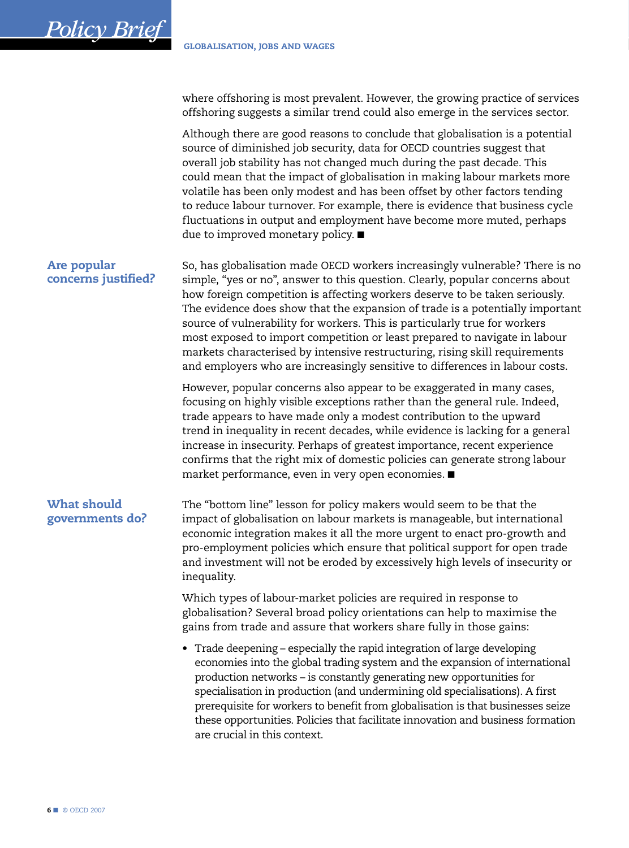where offshoring is most prevalent. However, the growing practice of services offshoring suggests a similar trend could also emerge in the services sector.

Although there are good reasons to conclude that globalisation is a potential source of diminished job security, data for OECD countries suggest that overall job stability has not changed much during the past decade. This could mean that the impact of globalisation in making labour markets more volatile has been only modest and has been offset by other factors tending to reduce labour turnover. For example, there is evidence that business cycle fluctuations in output and employment have become more muted, perhaps due to improved monetary policy. ■

## Are popular concerns justified?

<span id="page-5-0"></span>*Policy Brief*

So, has globalisation made OECD workers increasingly vulnerable? There is no simple, "yes or no", answer to this question. Clearly, popular concerns about how foreign competition is affecting workers deserve to be taken seriously. The evidence does show that the expansion of trade is a potentially important source of vulnerability for workers. This is particularly true for workers most exposed to import competition or least prepared to navigate in labour markets characterised by intensive restructuring, rising skill requirements and employers who are increasingly sensitive to differences in labour costs.

However, popular concerns also appear to be exaggerated in many cases, focusing on highly visible exceptions rather than the general rule. Indeed, trade appears to have made only a modest contribution to the upward trend in inequality in recent decades, while evidence is lacking for a general increase in insecurity. Perhaps of greatest importance, recent experience confirms that the right mix of domestic policies can generate strong labour market performance, even in very open economies. ■

# What should governments do?

The "bottom line" lesson for policy makers would seem to be that the impact of globalisation on labour markets is manageable, but international economic integration makes it all the more urgent to enact pro-growth and pro-employment policies which ensure that political support for open trade and investment will not be eroded by excessively high levels of insecurity or inequality.

Which types of labour-market policies are required in response to globalisation? Several broad policy orientations can help to maximise the gains from trade and assure that workers share fully in those gains:

• Trade deepening – especially the rapid integration of large developing economies into the global trading system and the expansion of international production networks – is constantly generating new opportunities for specialisation in production (and undermining old specialisations). A first prerequisite for workers to benefit from globalisation is that businesses seize these opportunities. Policies that facilitate innovation and business formation are crucial in this context.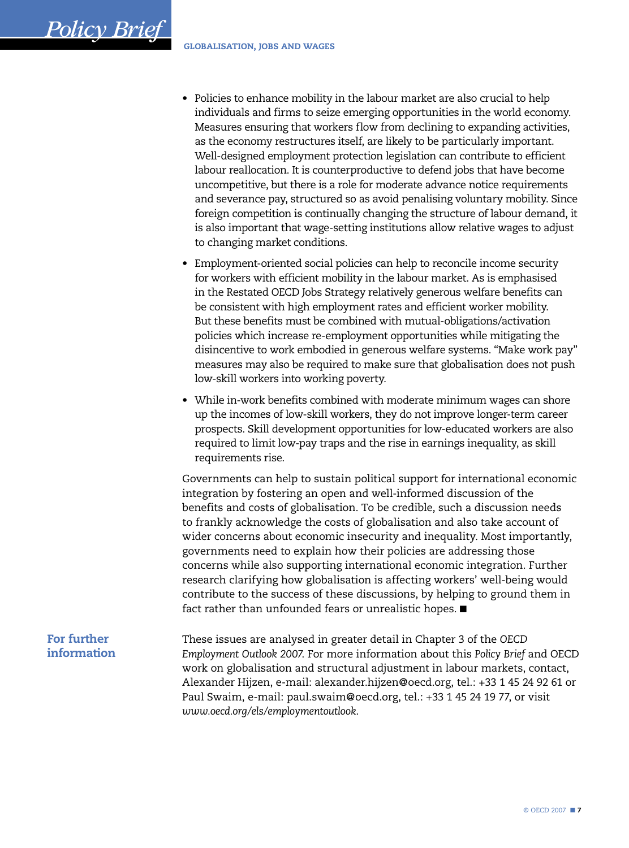- Policies to enhance mobility in the labour market are also crucial to help individuals and firms to seize emerging opportunities in the world economy. Measures ensuring that workers flow from declining to expanding activities, as the economy restructures itself, are likely to be particularly important. Well-designed employment protection legislation can contribute to efficient labour reallocation. It is counterproductive to defend jobs that have become uncompetitive, but there is a role for moderate advance notice requirements and severance pay, structured so as avoid penalising voluntary mobility. Since foreign competition is continually changing the structure of labour demand, it is also important that wage-setting institutions allow relative wages to adjust to changing market conditions.
- Employment-oriented social policies can help to reconcile income security for workers with efficient mobility in the labour market. As is emphasised in the Restated OECD Jobs Strategy relatively generous welfare benefits can be consistent with high employment rates and efficient worker mobility. But these benefits must be combined with mutual-obligations/activation policies which increase re-employment opportunities while mitigating the disincentive to work embodied in generous welfare systems. "Make work pay" measures may also be required to make sure that globalisation does not push low-skill workers into working poverty.
- While in-work benefits combined with moderate minimum wages can shore up the incomes of low-skill workers, they do not improve longer-term career prospects. Skill development opportunities for low-educated workers are also required to limit low-pay traps and the rise in earnings inequality, as skill requirements rise.

Governments can help to sustain political support for international economic integration by fostering an open and well-informed discussion of the benefits and costs of globalisation. To be credible, such a discussion needs to frankly acknowledge the costs of globalisation and also take account of wider concerns about economic insecurity and inequality. Most importantly, governments need to explain how their policies are addressing those concerns while also supporting international economic integration. Further research clarifying how globalisation is affecting workers' well-being would contribute to the success of these discussions, by helping to ground them in fact rather than unfounded fears or unrealistic hopes. ■

# For further information

<span id="page-6-0"></span>*Policy Brief*

These issues are analysed in greater detail in Chapter 3 of the *OECD Employment Outlook 2007*. For more information about this *Policy Brief* and OECD work on globalisation and structural adjustment in labour markets, contact, Alexander Hijzen, e-mail: alexander.hijzen@oecd.org, tel.: +33 1 45 24 92 61 or Paul Swaim, e-mail: paul.swaim@oecd.org, tel.: +33 1 45 24 19 77, or visit *www.oecd.org/els/employmentoutlook*.